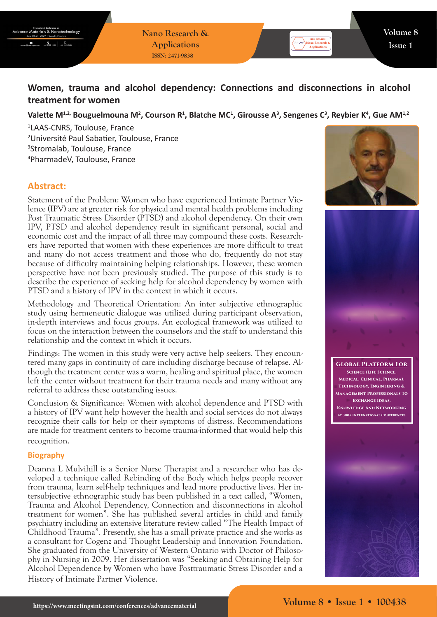**Nano Research & Applications ISSN: 2471-9838**

# **Women, trauma and alcohol dependency: Connections and disconnections in alcohol treatment for women**

Valette M<sup>1,2,</sup> Bouguelmouna M<sup>2</sup>, Courson R<sup>1</sup>, Blatche MC<sup>1</sup>, Girousse A<sup>3</sup>, Sengenes C<sup>3</sup>, Reybier K<sup>4</sup>, Gue AM<sup>1,2</sup>

 LAAS-CNRS, Toulouse, France Université Paul Sabatier, Toulouse, France Stromalab, Toulouse, France PharmadeV, Toulouse, France

## **Abstract:**

Statement of the Problem: Women who have experienced Intimate Partner Violence (IPV) are at greater risk for physical and mental health problems including Post Traumatic Stress Disorder (PTSD) and alcohol dependency. On their own IPV, PTSD and alcohol dependency result in significant personal, social and economic cost and the impact of all three may compound these costs. Researchers have reported that women with these experiences are more difficult to treat and many do not access treatment and those who do, frequently do not stay because of difficulty maintaining helping relationships. However, these women perspective have not been previously studied. The purpose of this study is to describe the experience of seeking help for alcohol dependency by women with PTSD and a history of IPV in the context in which it occurs.

Methodology and Theoretical Orientation: An inter subjective ethnographic study using hermeneutic dialogue was utilized during participant observation, in-depth interviews and focus groups. An ecological framework was utilized to focus on the interaction between the counselors and the staff to understand this relationship and the context in which it occurs.

Findings: The women in this study were very active help seekers. They encountered many gaps in continuity of care including discharge because of relapse. Although the treatment center was a warm, healing and spiritual place, the women left the center without treatment for their trauma needs and many without any referral to address these outstanding issues.

Conclusion & Significance: Women with alcohol dependence and PTSD with a history of IPV want help however the health and social services do not always recognize their calls for help or their symptoms of distress. Recommendations are made for treatment centers to become trauma-informed that would help this recognition.

#### **Biography**

Deanna L Mulvihill is a Senior Nurse Therapist and a researcher who has developed a technique called Rebinding of the Body which helps people recover from trauma, learn self-help techniques and lead more productive lives. Her intersubjective ethnographic study has been published in a text called, "Women, Trauma and Alcohol Dependency, Connection and disconnections in alcohol treatment for women". She has published several articles in child and family psychiatry including an extensive literature review called "The Health Impact of Childhood Trauma". Presently, she has a small private practice and she works as a consultant for Cogenz and Thought Leadership and Innovation Foundation. She graduated from the University of Western Ontario with Doctor of Philosophy in Nursing in 2009. Her dissertation was "Seeking and Obtaining Help for Alcohol Dependence by Women who have Posttraumatic Stress Disorder and a History of Intimate Partner Violence.





**Global Platform For Science (Life Science, Medical, Clinical, Pharma), Technology, Engineering & Management Professionals To Exchange Ideas, Knowledge And Networking At 300+ International Conferences**